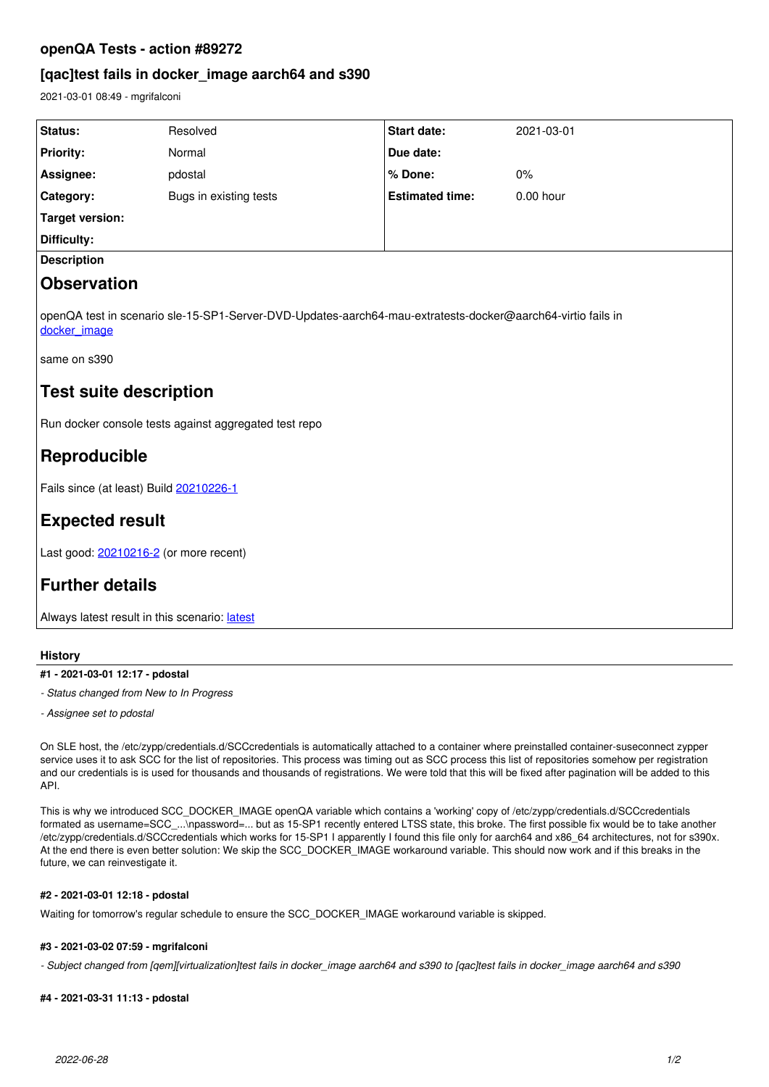### **openQA Tests - action #89272**

## **[qac]test fails in docker\_image aarch64 and s390**

2021-03-01 08:49 - mgrifalconi

| Status:                                                                                                                       | Resolved               | <b>Start date:</b>     | 2021-03-01  |
|-------------------------------------------------------------------------------------------------------------------------------|------------------------|------------------------|-------------|
| <b>Priority:</b>                                                                                                              | Normal                 | Due date:              |             |
| Assignee:                                                                                                                     | pdostal                | % Done:                | $0\%$       |
| Category:                                                                                                                     | Bugs in existing tests | <b>Estimated time:</b> | $0.00$ hour |
| Target version:                                                                                                               |                        |                        |             |
| Difficulty:                                                                                                                   |                        |                        |             |
| <b>Description</b>                                                                                                            |                        |                        |             |
| <b>Observation</b>                                                                                                            |                        |                        |             |
| openQA test in scenario sle-15-SP1-Server-DVD-Updates-aarch64-mau-extratests-docker@aarch64-virtio fails in  <br>docker image |                        |                        |             |

same on s390

## **Test suite description**

Run docker console tests against aggregated test repo

# **Reproducible**

Fails since (at least) Build [20210226-1](https://openqa.suse.de/tests/5544951)

# **Expected result**

Last good: [20210216-2](https://openqa.suse.de/tests/5472626) (or more recent)

# **Further details**

Always [latest](https://openqa.suse.de/tests/latest?arch=aarch64&distri=sle&flavor=Server-DVD-Updates&machine=aarch64-virtio&test=mau-extratests-docker&version=15-SP1) result in this scenario: latest

#### **History**

#### **#1 - 2021-03-01 12:17 - pdostal**

*- Status changed from New to In Progress*

*- Assignee set to pdostal*

On SLE host, the /etc/zypp/credentials.d/SCCcredentials is automatically attached to a container where preinstalled container-suseconnect zypper service uses it to ask SCC for the list of repositories. This process was timing out as SCC process this list of repositories somehow per registration and our credentials is is used for thousands and thousands of registrations. We were told that this will be fixed after pagination will be added to this API.

This is why we introduced SCC\_DOCKER\_IMAGE openQA variable which contains a 'working' copy of /etc/zypp/credentials.d/SCCcredentials formated as username=SCC\_...\npassword=... but as 15-SP1 recently entered LTSS state, this broke. The first possible fix would be to take another /etc/zypp/credentials.d/SCCcredentials which works for 15-SP1 I apparently I found this file only for aarch64 and x86\_64 architectures, not for s390x. At the end there is even better solution: We skip the SCC\_DOCKER\_IMAGE workaround variable. This should now work and if this breaks in the future, we can reinvestigate it.

#### **#2 - 2021-03-01 12:18 - pdostal**

Waiting for tomorrow's regular schedule to ensure the SCC\_DOCKER\_IMAGE workaround variable is skipped.

### **#3 - 2021-03-02 07:59 - mgrifalconi**

*- Subject changed from [qem][virtualization]test fails in docker\_image aarch64 and s390 to [qac]test fails in docker\_image aarch64 and s390*

### **#4 - 2021-03-31 11:13 - pdostal**